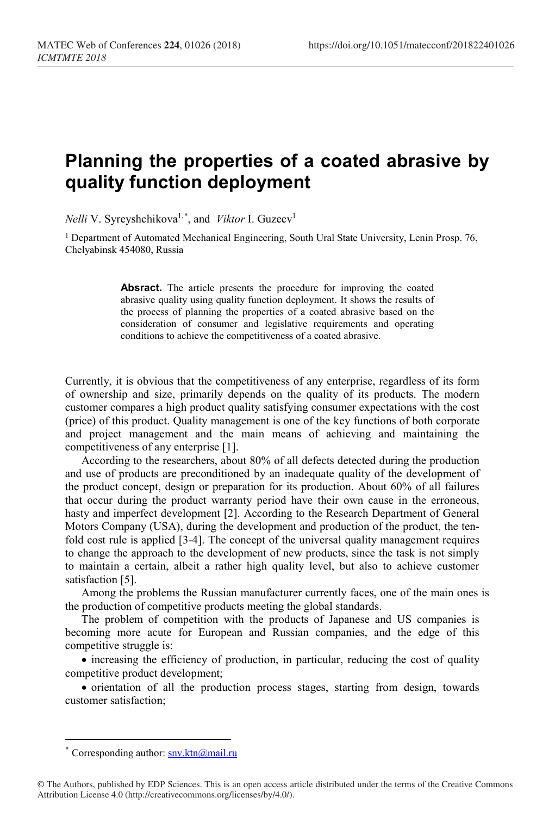## **Planning the properties of a coated abrasive by quality function deployment**

*Nelli* V. Syreyshchikova<sup>1,[\\*](#page-0-0)</sup>, and *Viktor* I. Guzeev<sup>1</sup>

<sup>1</sup> Department of Automated Mechanical Engineering, South Ural State University, Lenin Prosp. 76, Chelyabinsk 454080, Russia

> **Absract.** The article presents the procedure for improving the coated abrasive quality using quality function deployment. It shows the results of the process of planning the properties of a coated abrasive based on the consideration of consumer and legislative requirements and operating conditions to achieve the competitiveness of a coated abrasive.

Currently, it is obvious that the competitiveness of any enterprise, regardless of its form of ownership and size, primarily depends on the quality of its products. The modern customer compares a high product quality satisfying consumer expectations with the cost (price) of this product. Quality management is one of the key functions of both corporate and project management and the main means of achieving and maintaining the competitiveness of any enterprise [1].

According to the researchers, about 80% of all defects detected during the production and use of products are preconditioned by an inadequate quality of the development of the product concept, design or preparation for its production. About 60% of all failures that occur during the product warranty period have their own cause in the erroneous, hasty and imperfect development [2]. According to the Research Department of General Motors Company (USA), during the development and production of the product, the tenfold cost rule is applied [3-4]. The concept of the universal quality management requires to change the approach to the development of new products, since the task is not simply to maintain a certain, albeit a rather high quality level, but also to achieve customer satisfaction [5].

Among the problems the Russian manufacturer currently faces, one of the main ones is the production of competitive products meeting the global standards.

The problem of competition with the products of Japanese and US companies is becoming more acute for European and Russian companies, and the edge of this competitive struggle is:

• increasing the efficiency of production, in particular, reducing the cost of quality competitive product development;

• orientation of all the production process stages, starting from design, towards customer satisfaction;

 $\overline{a}$ 

Corresponding author:  $\frac{\text{snv} \cdot \text{ktn}(\hat{\omega})}{\text{mail} \cdot \text{ru}}$ 

<span id="page-0-0"></span><sup>©</sup> The Authors, published by EDP Sciences. This is an open access article distributed under the terms of the Creative Commons Attribution License 4.0 (http://creativecommons.org/licenses/by/4.0/).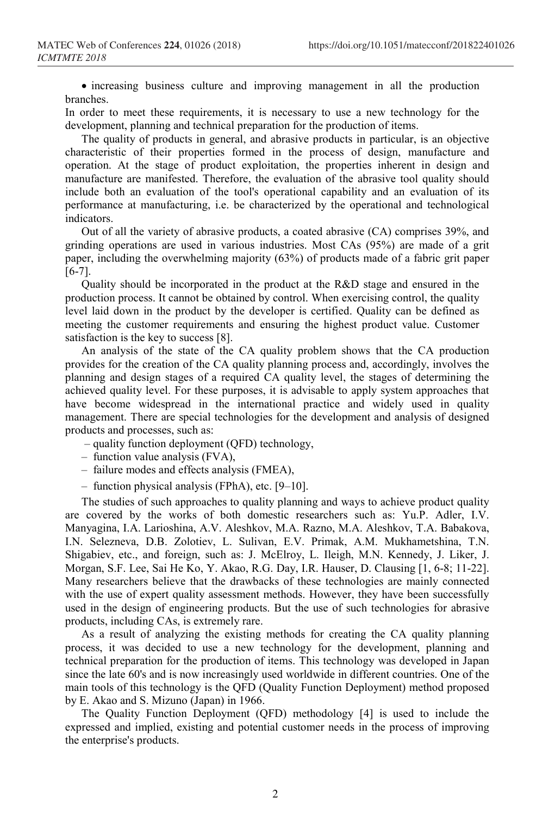• increasing business culture and improving management in all the production branches.

In order to meet these requirements, it is necessary to use a new technology for the development, planning and technical preparation for the production of items.

The quality of products in general, and abrasive products in particular, is an objective characteristic of their properties formed in the process of design, manufacture and operation. At the stage of product exploitation, the properties inherent in design and manufacture are manifested. Therefore, the evaluation of the abrasive tool quality should include both an evaluation of the tool's operational capability and an evaluation of its performance at manufacturing, i.e. be characterized by the operational and technological indicators.

Out of all the variety of abrasive products, a coated abrasive (CA) comprises 39%, and grinding operations are used in various industries. Most CAs (95%) are made of a grit paper, including the overwhelming majority (63%) of products made of a fabric grit paper [6-7].

Quality should be incorporated in the product at the R&D stage and ensured in the production process. It cannot be obtained by control. When exercising control, the quality level laid down in the product by the developer is certified. Quality can be defined as meeting the customer requirements and ensuring the highest product value. Customer satisfaction is the key to success [8].

An analysis of the state of the CA quality problem shows that the CA production provides for the creation of the CA quality planning process and, accordingly, involves the planning and design stages of a required CA quality level, the stages of determining the achieved quality level. For these purposes, it is advisable to apply system approaches that have become widespread in the international practice and widely used in quality management. There are special technologies for the development and analysis of designed products and processes, such as:

– quality function deployment (QFD) technology,

– function value analysis (FVA),

– failure modes and effects analysis (FMEA),

– function physical analysis (FPhA), etc. [9–10].

The studies of such approaches to quality planning and ways to achieve product quality are covered by the works of both domestic researchers such as: Yu.P. Adler, I.V. Manyagina, I.A. Larioshina, A.V. Aleshkov, M.A. Razno, M.A. Aleshkov, T.A. Babakova, I.N. Selezneva, D.B. Zolotiev, L. Sulivan, E.V. Primak, A.M. Mukhametshina, T.N. Shigabiev, etc., and foreign, such as: J. McElroy, L. Ileigh, M.N. Kennedy, J. Liker, J. Morgan, S.F. Lee, Sai He Ko, Y. Akao, R.G. Day, I.R. Hauser, D. Clausing [1, 6-8; 11-22]. Many researchers believe that the drawbacks of these technologies are mainly connected with the use of expert quality assessment methods. However, they have been successfully used in the design of engineering products. But the use of such technologies for abrasive products, including CAs, is extremely rare.

As a result of analyzing the existing methods for creating the CA quality planning process, it was decided to use a new technology for the development, planning and technical preparation for the production of items. This technology was developed in Japan since the late 60's and is now increasingly used worldwide in different countries. One of the main tools of this technology is the QFD (Quality Function Deployment) method proposed by E. Akao and S. Mizuno (Japan) in 1966.

The Quality Function Deployment (QFD) methodology [4] is used to include the expressed and implied, existing and potential customer needs in the process of improving the enterprise's products.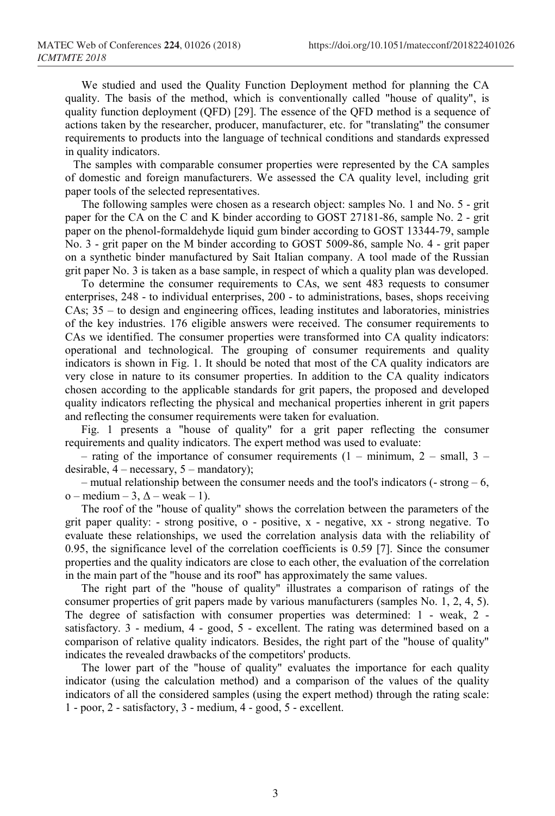We studied and used the Quality Function Deployment method for planning the CA quality. The basis of the method, which is conventionally called "house of quality", is quality function deployment (QFD) [29]. The essence of the QFD method is a sequence of actions taken by the researcher, producer, manufacturer, etc. for "translating" the consumer requirements to products into the language of technical conditions and standards expressed in quality indicators.

The samples with comparable consumer properties were represented by the CA samples of domestic and foreign manufacturers. We assessed the CA quality level, including grit paper tools of the selected representatives.

The following samples were chosen as a research object: samples No. 1 and No. 5 - grit paper for the CA on the C and K binder according to GOST 27181-86, sample No. 2 - grit paper on the phenol-formaldehyde liquid gum binder according to GOST 13344-79, sample No. 3 - grit paper on the M binder according to GOST 5009-86, sample No. 4 - grit paper on a synthetic binder manufactured by Sait Italian company. A tool made of the Russian grit paper No. 3 is taken as a base sample, in respect of which a quality plan was developed.

To determine the consumer requirements to CAs, we sent 483 requests to consumer enterprises, 248 - to individual enterprises, 200 - to administrations, bases, shops receiving CAs; 35 – to design and engineering offices, leading institutes and laboratories, ministries of the key industries. 176 eligible answers were received. The consumer requirements to CAs we identified. The consumer properties were transformed into CA quality indicators: operational and technological. The grouping of consumer requirements and quality indicators is shown in Fig. 1. It should be noted that most of the CA quality indicators are very close in nature to its consumer properties. In addition to the CA quality indicators chosen according to the applicable standards for grit papers, the proposed and developed quality indicators reflecting the physical and mechanical properties inherent in grit papers and reflecting the consumer requirements were taken for evaluation.

Fig. 1 presents a "house of quality" for a grit paper reflecting the consumer requirements and quality indicators. The expert method was used to evaluate:

– rating of the importance of consumer requirements  $(1 - \text{minimum}, 2 - \text{small}, 3 - \text{normal})$ desirable,  $4$  – necessary,  $5$  – mandatory);

– mutual relationship between the consumer needs and the tool's indicators (- strong  $-6$ , o – medium – 3,  $\Delta$  – weak – 1).

The roof of the "house of quality" shows the correlation between the parameters of the grit paper quality: - strong positive, o - positive, x - negative, xx - strong negative. To evaluate these relationships, we used the correlation analysis data with the reliability of 0.95, the significance level of the correlation coefficients is 0.59 [7]. Since the consumer properties and the quality indicators are close to each other, the evaluation of the correlation in the main part of the "house and its roof" has approximately the same values.

The right part of the "house of quality" illustrates a comparison of ratings of the consumer properties of grit papers made by various manufacturers (samples No. 1, 2, 4, 5). The degree of satisfaction with consumer properties was determined: 1 - weak, 2 satisfactory. 3 - medium, 4 - good, 5 - excellent. The rating was determined based on a comparison of relative quality indicators. Besides, the right part of the "house of quality" indicates the revealed drawbacks of the competitors' products.

The lower part of the "house of quality" evaluates the importance for each quality indicator (using the calculation method) and a comparison of the values of the quality indicators of all the considered samples (using the expert method) through the rating scale: 1 - poor, 2 - satisfactory, 3 - medium, 4 - good, 5 - excellent.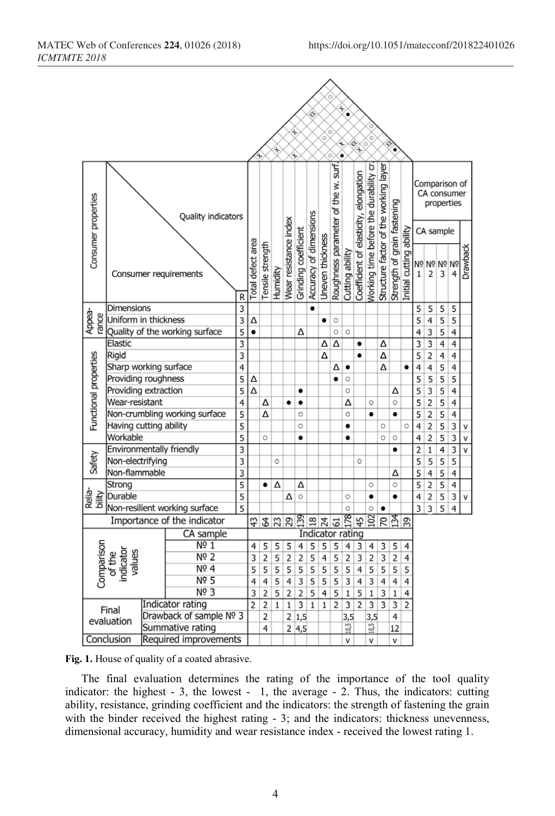|                          |                                                               |                                             |                  |                     |                   |                                                   |          |                         |                            |                        |                  | ö                                         | ∙<br>٠          | Þ<br>$\leftrightarrow$                |                                       |                                       |                             |                         |                                            |                         |                  |                     |          |
|--------------------------|---------------------------------------------------------------|---------------------------------------------|------------------|---------------------|-------------------|---------------------------------------------------|----------|-------------------------|----------------------------|------------------------|------------------|-------------------------------------------|-----------------|---------------------------------------|---------------------------------------|---------------------------------------|-----------------------------|-------------------------|--------------------------------------------|-------------------------|------------------|---------------------|----------|
| Consumer properties      | Quality indicators<br>Consumer requirements<br>$\overline{R}$ |                                             |                  |                     |                   | Tensile strength                                  | Humidity | Wear resistance index   | Grinding coefficient       | Accuracy of dimensions | Uneven thickness | surf.<br>of the w.<br>Roughness parameter | Cutting ability | Coefficient of elasticity, elongation | Norking time before the durability cr | Structure factor of the working layer | Strength of grain fastening | Initial cutting ability | Comparison of<br>CA consumer<br>properties |                         |                  |                     |          |
|                          |                                                               |                                             |                  |                     |                   |                                                   |          |                         |                            |                        |                  |                                           |                 |                                       |                                       |                                       |                             |                         | CA sample                                  |                         |                  |                     |          |
|                          |                                                               |                                             |                  |                     | Total defect area |                                                   |          |                         |                            |                        |                  |                                           |                 |                                       |                                       |                                       |                             |                         | $\mathbf{1}$                               | $\overline{\mathbf{c}}$ | Vō Võ Võ Võ<br>3 | 4                   | Drawback |
| Appea-<br>rance          | <b>Dimensions</b>                                             |                                             |                  | 3                   |                   |                                                   |          |                         |                            | $\bullet$              |                  |                                           |                 |                                       |                                       |                                       |                             |                         | 5                                          | 5                       | 5                | 5                   |          |
|                          | Uniform in thickness                                          |                                             |                  | 3<br>$\overline{5}$ | Δ                 |                                                   |          |                         |                            |                        | ٠                | O                                         |                 |                                       |                                       |                                       |                             |                         | 5                                          | 4                       | 5                | 5                   |          |
| Functional properties    | Quality of the working surface<br>Elastic                     |                                             |                  |                     | $\bullet$         |                                                   |          |                         | Δ                          |                        | Δ                | O<br>Δ                                    | O               | ٠                                     |                                       | Δ                                     |                             |                         | 4<br>3                                     | 3<br>3                  | 5                | 4<br>$\overline{4}$ |          |
|                          | Rigid                                                         |                                             |                  |                     |                   |                                                   |          |                         |                            |                        | Δ                |                                           |                 | ٠                                     |                                       | Δ                                     |                             |                         | 5                                          | $\overline{2}$          | 4<br>4           | 4                   |          |
|                          | Sharp working surface                                         |                                             |                  | 4                   |                   |                                                   |          |                         |                            |                        |                  | Δ                                         | $\bullet$       |                                       |                                       | Δ                                     |                             | $\bullet$               | 4                                          | 4                       | 5                | 4                   |          |
|                          | Providing roughness                                           |                                             |                  | 5                   | Δ                 |                                                   |          |                         |                            |                        |                  | ٠                                         | $\circ$         |                                       |                                       |                                       |                             |                         | 5                                          | 5                       | 5                | $\overline{5}$      |          |
|                          | Providing extraction                                          |                                             |                  | 5                   | Δ                 |                                                   |          |                         |                            |                        |                  |                                           | O               |                                       |                                       |                                       | Δ                           |                         | 5                                          | 3                       | 5                | 4                   |          |
|                          | Wear-resistant                                                |                                             |                  | 4                   |                   | Δ                                                 |          | ٠                       | ٠                          |                        |                  |                                           | Δ               |                                       | $\circ$                               |                                       | $\circ$                     |                         | 5                                          | $\overline{2}$          | 5                | 4                   |          |
|                          | Non-crumbling working surface                                 |                                             |                  | 5                   |                   | Δ                                                 |          |                         | Ō                          |                        |                  |                                           | $\circ$         |                                       | $\bullet$                             |                                       | $\bullet$                   |                         | 5                                          | $\overline{2}$          | 5                | 4                   |          |
|                          | Having cutting ability                                        |                                             |                  | 5                   |                   |                                                   |          |                         | O                          |                        |                  |                                           |                 |                                       |                                       | O                                     |                             | O                       | 4                                          | $\overline{\mathbf{c}}$ | 5                | 3                   | ٧        |
|                          | Workable                                                      |                                             |                  | 5                   |                   | O                                                 |          |                         | $\bullet$                  |                        |                  |                                           | $\bullet$       |                                       |                                       | O                                     | $\circ$                     |                         | 4                                          | 2                       | 5                | 3                   | ٧        |
| Safety                   | Environmentally friendly                                      |                                             |                  | 3                   |                   |                                                   |          |                         |                            |                        |                  |                                           |                 |                                       |                                       |                                       | $\bullet$                   |                         | $\overline{\mathbf{c}}$                    | 1                       | 4                | 3                   | v        |
|                          | Non-electrifying<br>Non-flammable                             |                                             |                  | 3                   |                   |                                                   | $\circ$  |                         |                            |                        |                  |                                           |                 | $\circ$                               |                                       |                                       |                             |                         | 5                                          | 5                       | 5                | 5                   |          |
|                          | Strong                                                        |                                             |                  | 3<br>$\overline{5}$ |                   | $\bullet$                                         | Δ        |                         | Δ                          |                        |                  |                                           |                 |                                       | $\circ$                               |                                       | Δ<br>$\circ$                |                         | 5<br>5                                     | 4<br>2                  | 5<br>5           | 4<br>4              |          |
| Relia-<br>bility         | Durable                                                       |                                             |                  | 5                   |                   |                                                   |          | Δ                       | $\circ$                    |                        |                  |                                           | O               |                                       | $\bullet$                             |                                       | $\bullet$                   |                         | 4                                          | $\overline{\mathbf{c}}$ | 5                | 3                   | ٧        |
|                          | Non-resilient working surface                                 |                                             |                  | $\overline{5}$      |                   |                                                   |          |                         |                            |                        |                  |                                           | $\circ$         |                                       | O                                     | ٠                                     |                             |                         | $\overline{\mathbf{3}}$                    | $\overline{\mathbf{3}}$ | $\overline{5}$   | 4                   |          |
|                          | Importance of the indicator                                   |                                             |                  |                     | 43                |                                                   |          |                         |                            |                        |                  |                                           |                 |                                       |                                       |                                       | हाँचे ब्र                   |                         |                                            |                         |                  |                     |          |
|                          | CA sample                                                     |                                             |                  |                     |                   | <u>द्वि स्रोध</u><br>37399772<br>Indicator rating |          |                         |                            |                        |                  |                                           |                 |                                       |                                       |                                       |                             |                         |                                            |                         |                  |                     |          |
|                          | indicator<br>of the<br>values                                 |                                             | N <sup>o</sup> 1 |                     | 4                 | 5                                                 | 5        | 5                       | 4                          | 5                      | 5                | $\overline{5}$                            | 4               | 3                                     | 4                                     | 3                                     | 5                           | 4                       |                                            |                         |                  |                     |          |
| Comparison               |                                                               |                                             | $No$ 2           |                     | 3                 | $\overline{2}$                                    | 5        | $\overline{2}$          | $\overline{2}$             | 5                      | 4                | 5                                         | $\overline{2}$  | 3                                     | $\overline{2}$                        | 3                                     | $\overline{2}$              | $\overline{\mathbf{4}}$ |                                            |                         |                  |                     |          |
|                          |                                                               |                                             | Nº 4             |                     | 5<br>4            | 5                                                 | 5        | 5                       | 5                          | 5                      | 5                | 5                                         | 5               | 4                                     | 5                                     | 5                                     | 5                           | 5                       |                                            |                         |                  |                     |          |
|                          |                                                               |                                             | Nº 5             |                     |                   | 4                                                 | 5        | 4                       | 3                          | 5                      | 5                | 5                                         | 3               | 4                                     | 3                                     | 4                                     | 4                           | 4                       |                                            |                         |                  |                     |          |
|                          |                                                               | $N0$ 3                                      |                  |                     | 3                 | $\overline{c}$                                    | 5        | $\overline{\mathbf{c}}$ | 2                          | 5                      | 4                | 5                                         | $\mathbf 1$     | 5                                     | $\mathbf 1$                           | 3                                     | $\mathbf 1$                 | 4                       |                                            |                         |                  |                     |          |
|                          | Final                                                         | Indicator rating<br>Drawback of sample Nº 3 |                  |                     | 2                 | 2                                                 | 1        | 1                       | 3                          | $\mathbf{1}$           | $\mathbf{1}$     | 2                                         | 3               | 2                                     | 3                                     | 3                                     | 3                           | 2                       |                                            |                         |                  |                     |          |
| evaluation<br>Conclusion |                                                               | Summative rating                            |                  |                     |                   | 2<br>4                                            |          | 2                       | 1,5<br>$2 \overline{)4,5}$ |                        |                  |                                           | 3,5<br>10,5     |                                       | 3,5<br>10,5                           |                                       | 4<br>12                     |                         |                                            |                         |                  |                     |          |
|                          |                                                               | <b>Required improvements</b>                |                  |                     |                   |                                                   |          |                         |                            |                        |                  |                                           | V               |                                       | v                                     |                                       | v                           |                         |                                            |                         |                  |                     |          |
|                          |                                                               |                                             |                  |                     |                   |                                                   |          |                         |                            |                        |                  |                                           |                 |                                       |                                       |                                       |                             |                         |                                            |                         |                  |                     |          |

**Fig. 1.** House of quality of a coated abrasive.

The final evaluation determines the rating of the importance of the tool quality indicator: the highest - 3, the lowest - 1, the average - 2. Thus, the indicators: cutting ability, resistance, grinding coefficient and the indicators: the strength of fastening the grain with the binder received the highest rating - 3; and the indicators: thickness unevenness, dimensional accuracy, humidity and wear resistance index - received the lowest rating 1.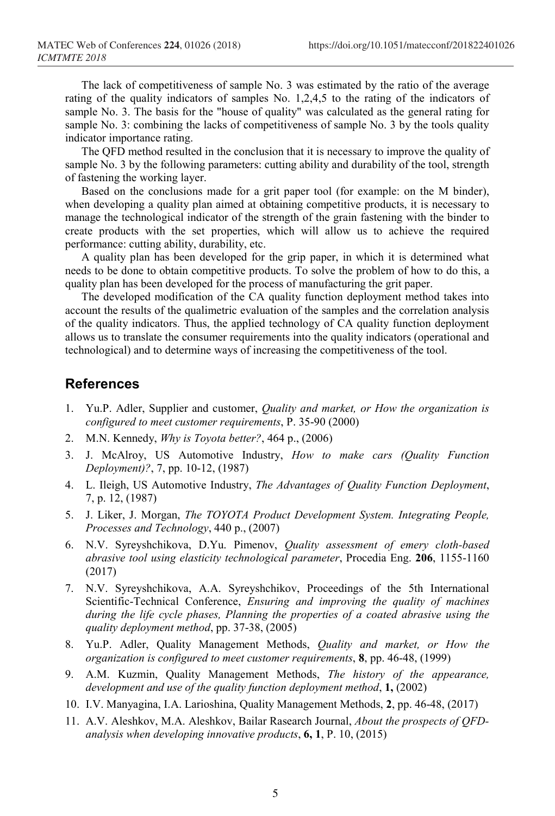The lack of competitiveness of sample No. 3 was estimated by the ratio of the average rating of the quality indicators of samples No. 1,2,4,5 to the rating of the indicators of sample No. 3. The basis for the "house of quality" was calculated as the general rating for sample No. 3: combining the lacks of competitiveness of sample No. 3 by the tools quality indicator importance rating.

The QFD method resulted in the conclusion that it is necessary to improve the quality of sample No. 3 by the following parameters: cutting ability and durability of the tool, strength of fastening the working layer.

Based on the conclusions made for a grit paper tool (for example: on the M binder), when developing a quality plan aimed at obtaining competitive products, it is necessary to manage the technological indicator of the strength of the grain fastening with the binder to create products with the set properties, which will allow us to achieve the required performance: cutting ability, durability, etc.

A quality plan has been developed for the grip paper, in which it is determined what needs to be done to obtain competitive products. To solve the problem of how to do this, a quality plan has been developed for the process of manufacturing the grit paper.

The developed modification of the CA quality function deployment method takes into account the results of the qualimetric evaluation of the samples and the correlation analysis of the quality indicators. Thus, the applied technology of CA quality function deployment allows us to translate the consumer requirements into the quality indicators (operational and technological) and to determine ways of increasing the competitiveness of the tool.

## **References**

- 1. Yu.P. Adler, Supplier and customer, *Quality and market, or How the organization is configured to meet customer requirements*, P. 35-90 (2000)
- 2. M.N. Kennedy, *Why is Toyota better?*, 464 p., (2006)
- 3. J. McAlroy, US Automotive Industry, *How to make cars (Quality Function Deployment)?*, 7, pp. 10-12, (1987)
- 4. L. Ileigh, US Automotive Industry, *The Advantages of Quality Function Deployment*, 7, p. 12, (1987)
- 5. J. Liker, J. Morgan, *The TOYOTA Product Development System. Integrating People, Processes and Technology*, 440 p., (2007)
- 6. N.V. Syreyshchikova, D.Yu. Pimenov, *Quality assessment of emery cloth-based abrasive tool using elasticity technological parameter*, Procedia Eng. **206**, 1155-1160 (2017)
- 7. N.V. Syreyshchikova, A.A. Syreyshchikov, Proceedings of the 5th International Scientific-Technical Conference, *Ensuring and improving the quality of machines during the life cycle phases, Planning the properties of a coated abrasive using the quality deployment method*, pp. 37-38, (2005)
- 8. Yu.P. Adler, Quality Management Methods, *Quality and market, or How the organization is configured to meet customer requirements*, **8**, pp. 46-48, (1999)
- 9. A.M. Kuzmin, Quality Management Methods, *The history of the appearance, development and use of the quality function deployment method*, **1,** (2002)
- 10. I.V. Manyagina, I.A. Larioshina, Quality Management Methods, **2**, pp. 46-48, (2017)
- 11. A.V. Aleshkov, M.A. Aleshkov, Bailar Rasearch Journal, *About the prospects of QFDanalysis when developing innovative products*, **6, 1**, P. 10, (2015)